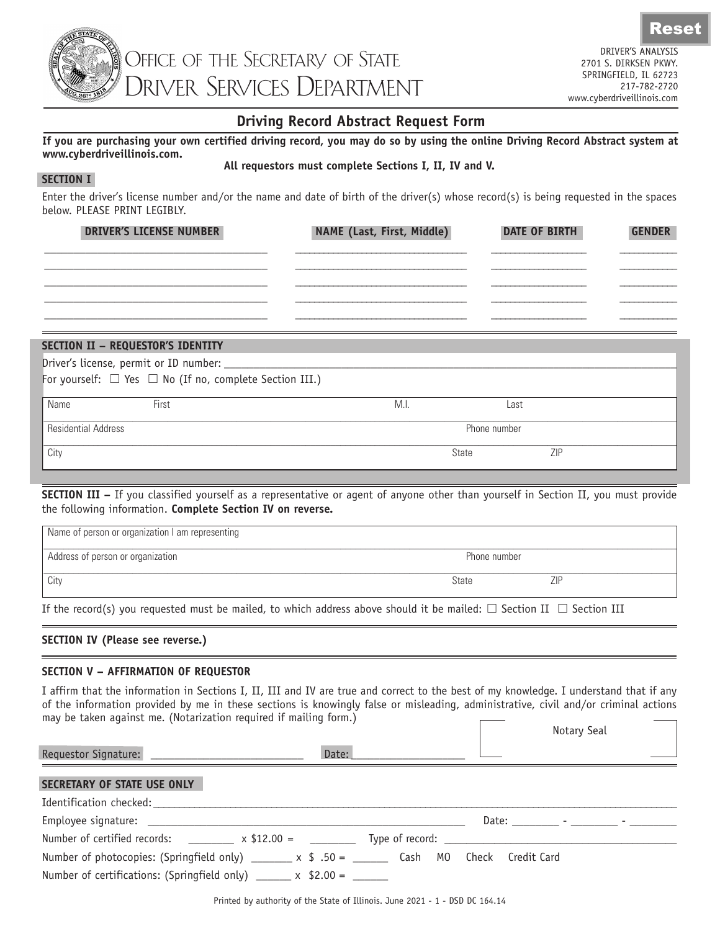

Rese

## **Driving Record Abstract Request Form**

### **If you are purchasing your own certified driving record, you may do so by using the online Driving Record Abstract system at www.cyberdriveillinois.com.**

### **All requestors must complete Sections I, II, IV and V.**

### **SECTION I**

Enter the driver's license number and/or the name and date of birth of the driver(s) whose record(s) is being requested in the spaces below. PLEASE PRINT LEGIBLY.

| <b>DRIVER'S LICENSE NUMBER</b> | NAME (Last, First, Middle) | <b>DATE OF BIRTH</b> | <b>GENDER</b> |
|--------------------------------|----------------------------|----------------------|---------------|
|                                |                            |                      |               |
|                                |                            |                      |               |
|                                |                            |                      |               |
|                                |                            |                      |               |
|                                |                            |                      |               |
|                                |                            |                      |               |
|                                |                            |                      |               |

# **SECTION II – REQUESTOR'S IDENTITY**

Driver's license, permit or ID number:

For yourself:  $\Box$  Yes  $\Box$  No (If no, complete Section III.)

| Name                | First | IVI.I. | Last         |            |
|---------------------|-------|--------|--------------|------------|
| Residential Address |       |        | Phone number |            |
| City                |       |        | State        | <b>ZIP</b> |

**SECTION III –** If you classified yourself as a representative or agent of anyone other than yourself in Section II, you must provide the following information. **Complete Section IV on reverse.**

| Name of person or organization I am representing |              |            |  |
|--------------------------------------------------|--------------|------------|--|
| Address of person or organization                | Phone number |            |  |
| City                                             | State        | <b>ZIP</b> |  |

If the record(s) you requested must be mailed, to which address above should it be mailed:  $\Box$  Section II  $\Box$  Section III

## **SECTION IV (Please see reverse.)**

## **SECTION V – AFFIRMATION OF REQUESTOR**

I affirm that the information in Sections I, II, III and IV are true and correct to the best of my knowledge. I understand that if any of the information provided by me in these sections is knowingly false or misleading, administrative, civil and/or criminal actions may be taken against me. (Notarization required if mailing form.)

|                                                                                                    |       |  | Notary Seal |  |
|----------------------------------------------------------------------------------------------------|-------|--|-------------|--|
|                                                                                                    | Date: |  |             |  |
| SECRETARY OF STATE USE ONLY                                                                        |       |  |             |  |
|                                                                                                    |       |  |             |  |
|                                                                                                    |       |  |             |  |
| Number of certified records: $\qquad \qquad \times \$12.00 = \qquad \qquad \qquad$ Type of record: |       |  |             |  |
| Number of photocopies: (Springfield only) ______ x $\ $$ .50 = _____ Cash M0 Check Credit Card     |       |  |             |  |
| Number of certifications: (Springfield only) ______ $\times$ \$2.00 = ____                         |       |  |             |  |